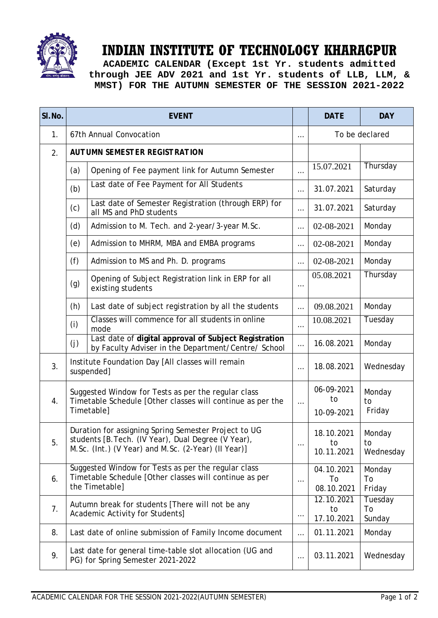

## **INDIAN INSTITUTE OF TECHNOLOGY KHARAGPUR**

**ACADEMIC CALENDAR (Except 1st Yr. students admitted through JEE ADV 2021 and 1st Yr. students of LLB, LLM, & MMST) FOR THE AUTUMN SEMESTER OF THE SESSION 2021-2022**

| SI.No. | <b>EVENT</b>                                                                                                                                                       |                                                                                                              |          | <b>DATE</b>                    | <b>DAY</b>                |
|--------|--------------------------------------------------------------------------------------------------------------------------------------------------------------------|--------------------------------------------------------------------------------------------------------------|----------|--------------------------------|---------------------------|
| 1.     |                                                                                                                                                                    | 67th Annual Convocation                                                                                      | $\cdots$ | To be declared                 |                           |
| 2.     | <b>AUTUMN SEMESTER REGISTRATION</b>                                                                                                                                |                                                                                                              |          |                                |                           |
|        | (a)                                                                                                                                                                | Opening of Fee payment link for Autumn Semester                                                              | $\cdots$ | 15.07.2021                     | Thursday                  |
|        | (b)                                                                                                                                                                | Last date of Fee Payment for All Students                                                                    | $\cdots$ | 31.07.2021                     | Saturday                  |
|        | (c)                                                                                                                                                                | Last date of Semester Registration (through ERP) for<br>all MS and PhD students                              | $\cdots$ | 31.07.2021                     | Saturday                  |
|        | (d)                                                                                                                                                                | Admission to M. Tech. and 2-year/3-year M.Sc.                                                                | $\cdots$ | 02-08-2021                     | Monday                    |
|        | (e)                                                                                                                                                                | Admission to MHRM, MBA and EMBA programs                                                                     | $\cdots$ | 02-08-2021                     | Monday                    |
|        | (f)                                                                                                                                                                | Admission to MS and Ph. D. programs                                                                          | $\cdots$ | 02-08-2021                     | Monday                    |
|        | (g)                                                                                                                                                                | Opening of Subject Registration link in ERP for all<br>existing students                                     | $\cdots$ | 05.08.2021                     | Thursday                  |
|        | (h)                                                                                                                                                                | Last date of subject registration by all the students                                                        | $\cdots$ | 09.08.2021                     | Monday                    |
|        | (i)                                                                                                                                                                | Classes will commence for all students in online<br>mode                                                     | $\cdots$ | 10.08.2021                     | Tuesday                   |
|        | (j)                                                                                                                                                                | Last date of digital approval of Subject Registration<br>by Faculty Adviser in the Department/Centre/ School | $\cdots$ | 16.08.2021                     | Monday                    |
| 3.     |                                                                                                                                                                    | Institute Foundation Day [All classes will remain<br>suspended]                                              | $\cdots$ | 18.08.2021                     | Wednesday                 |
| 4.     | Suggested Window for Tests as per the regular class<br>Timetable Schedule [Other classes will continue as per the<br>Timetable]                                    |                                                                                                              | $\cdots$ | 06-09-2021<br>to<br>10-09-2021 | Monday<br>to<br>Friday    |
| 5.     | Duration for assigning Spring Semester Project to UG<br>students [B. Tech. (IV Year), Dual Degree (V Year),<br>M.Sc. (Int.) (V Year) and M.Sc. (2-Year) (II Year)] |                                                                                                              | $\cdots$ | 18.10.2021<br>to<br>10.11.2021 | Monday<br>to<br>Wednesday |
| 6.     | Suggested Window for Tests as per the regular class<br>Timetable Schedule [Other classes will continue as per<br>the Timetable]                                    |                                                                                                              | $\cdots$ | 04.10.2021<br>To<br>08.10.2021 | Monday<br>To<br>Friday    |
| 7.     | Autumn break for students [There will not be any<br>Academic Activity for Students]                                                                                |                                                                                                              | $\cdots$ | 12.10.2021<br>to<br>17.10.2021 | Tuesday<br>To<br>Sunday   |
| 8.     | Last date of online submission of Family Income document                                                                                                           |                                                                                                              | $\cdots$ | 01.11.2021                     | Monday                    |
| 9.     | Last date for general time-table slot allocation (UG and<br>PG) for Spring Semester 2021-2022                                                                      |                                                                                                              | $\cdots$ | 03.11.2021                     | Wednesday                 |